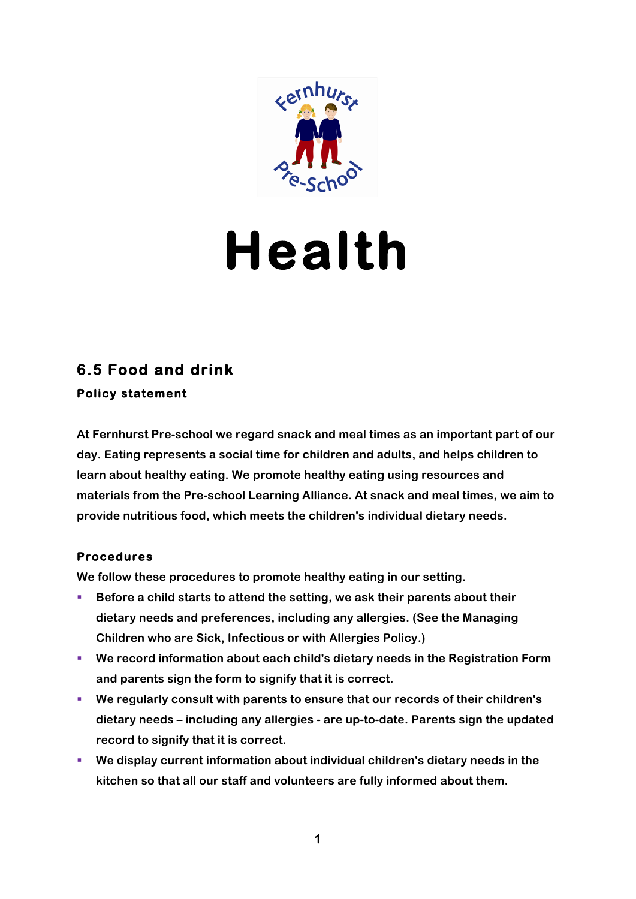

# **Health**

## **6.5 Food and drink Policy statement**

**At Fernhurst Pre-school we regard snack and meal times as an important part of our day. Eating represents a social time for children and adults, and helps children to learn about healthy eating. We promote healthy eating using resources and materials from the Pre-school Learning Alliance. At snack and meal times, we aim to provide nutritious food, which meets the children's individual dietary needs.**

### **Procedures**

**We follow these procedures to promote healthy eating in our setting.**

- Before a child starts to attend the setting, we ask their parents about their **dietary needs and preferences, including any allergies. (See the Managing Children who are Sick, Infectious or with Allergies Policy.)**
- We record information about each child's dietary needs in the Registration Form **and parents sign the form to signify that it is correct.**
- § **We regularly consult with parents to ensure that our records of their children's dietary needs – including any allergies - are up-to-date. Parents sign the updated record to signify that it is correct.**
- § **We display current information about individual children's dietary needs in the kitchen so that all our staff and volunteers are fully informed about them.**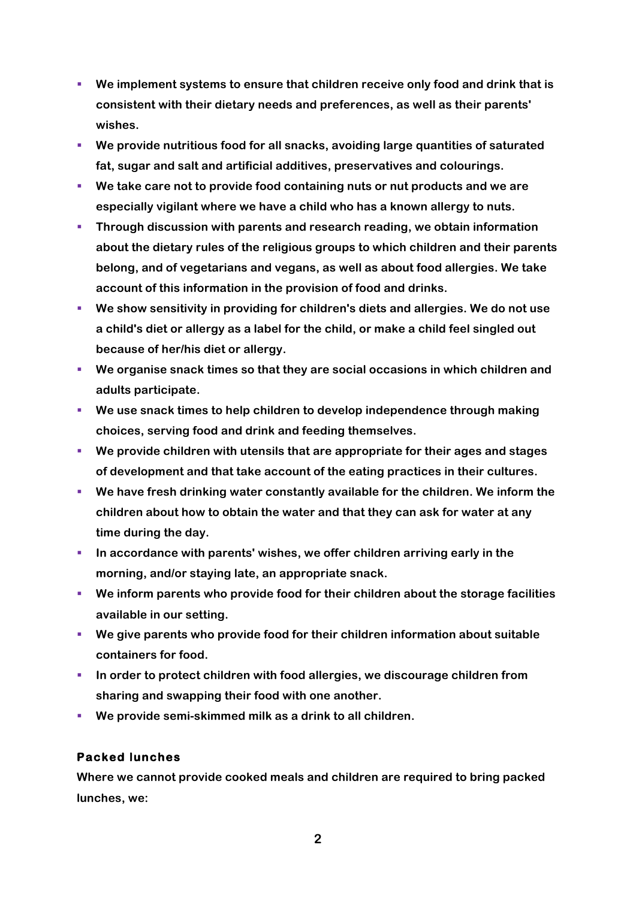- § **We implement systems to ensure that children receive only food and drink that is consistent with their dietary needs and preferences, as well as their parents' wishes.**
- § **We provide nutritious food for all snacks, avoiding large quantities of saturated fat, sugar and salt and artificial additives, preservatives and colourings.**
- § **We take care not to provide food containing nuts or nut products and we are especially vigilant where we have a child who has a known allergy to nuts.**
- § **Through discussion with parents and research reading, we obtain information about the dietary rules of the religious groups to which children and their parents belong, and of vegetarians and vegans, as well as about food allergies. We take account of this information in the provision of food and drinks.**
- § **We show sensitivity in providing for children's diets and allergies. We do not use a child's diet or allergy as a label for the child, or make a child feel singled out because of her/his diet or allergy.**
- § **We organise snack times so that they are social occasions in which children and adults participate.**
- § **We use snack times to help children to develop independence through making choices, serving food and drink and feeding themselves.**
- § **We provide children with utensils that are appropriate for their ages and stages of development and that take account of the eating practices in their cultures.**
- § **We have fresh drinking water constantly available for the children. We inform the children about how to obtain the water and that they can ask for water at any time during the day.**
- § **In accordance with parents' wishes, we offer children arriving early in the morning, and/or staying late, an appropriate snack.**
- § **We inform parents who provide food for their children about the storage facilities available in our setting.**
- § **We give parents who provide food for their children information about suitable containers for food.**
- § **In order to protect children with food allergies, we discourage children from sharing and swapping their food with one another.**
- § **We provide semi-skimmed milk as a drink to all children.**

### **Packed lunches**

**Where we cannot provide cooked meals and children are required to bring packed lunches, we:**